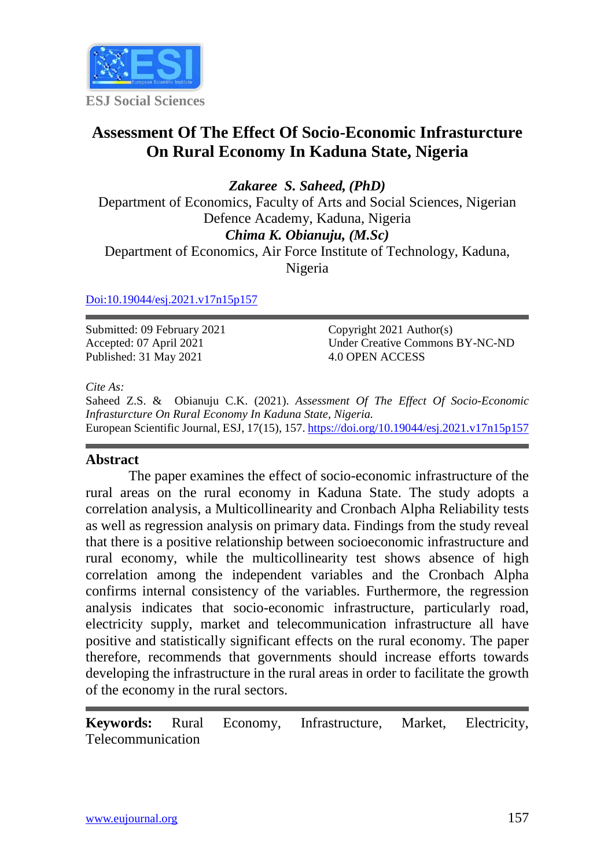

# **Assessment Of The Effect Of Socio-Economic Infrasturcture On Rural Economy In Kaduna State, Nigeria**

*Zakaree S. Saheed, (PhD)* Department of Economics, Faculty of Arts and Social Sciences, Nigerian Defence Academy, Kaduna, Nigeria *Chima K. Obianuju, (M.Sc)* Department of Economics, Air Force Institute of Technology, Kaduna,

Nigeria

#### [Doi:10.19044/esj.2021.v17n15p157](https://doi.org/10.19044/esj.2021.v17n15p1)

Submitted: 09 February 2021 Accepted: 07 April 2021 Published: 31 May 2021

Copyright 2021 Author(s) Under Creative Commons BY-NC-ND 4.0 OPEN ACCESS

#### *Cite As:*

Saheed Z.S. & Obianuju C.K. (2021). *Assessment Of The Effect Of Socio-Economic Infrasturcture On Rural Economy In Kaduna State, Nigeria.* European Scientific Journal, ESJ, 17(15), 157[. https://doi.org/10.19044/esj.2021.v17n15p157](https://doi.org/10.19044/esj.2021.v17n15p157)

# **Abstract**

The paper examines the effect of socio-economic infrastructure of the rural areas on the rural economy in Kaduna State. The study adopts a correlation analysis, a Multicollinearity and Cronbach Alpha Reliability tests as well as regression analysis on primary data. Findings from the study reveal that there is a positive relationship between socioeconomic infrastructure and rural economy, while the multicollinearity test shows absence of high correlation among the independent variables and the Cronbach Alpha confirms internal consistency of the variables. Furthermore, the regression analysis indicates that socio-economic infrastructure, particularly road, electricity supply, market and telecommunication infrastructure all have positive and statistically significant effects on the rural economy. The paper therefore, recommends that governments should increase efforts towards developing the infrastructure in the rural areas in order to facilitate the growth of the economy in the rural sectors.

**Keywords:** Rural Economy, Infrastructure, Market, Electricity, Telecommunication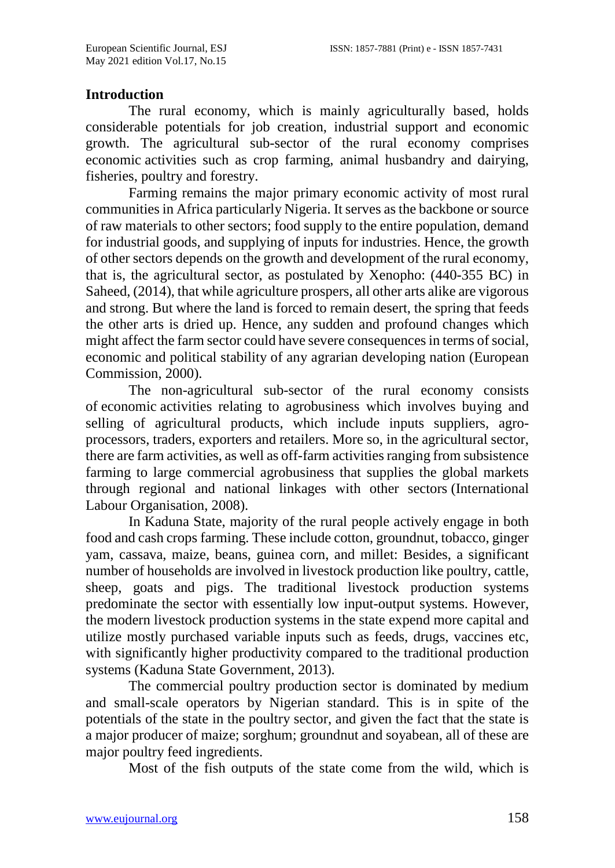#### **Introduction**

The rural economy, which is mainly agriculturally based, holds considerable potentials for job creation, industrial support and economic growth. The agricultural sub-sector of the rural economy comprises economic activities such as crop farming, animal husbandry and dairying, fisheries, poultry and forestry.

Farming remains the major primary economic activity of most rural communities in Africa particularly Nigeria. It serves as the backbone or source of raw materials to other sectors; food supply to the entire population, demand for industrial goods, and supplying of inputs for industries. Hence, the growth of other sectors depends on the growth and development of the rural economy, that is, the agricultural sector, as postulated by Xenopho: (440-355 BC) in Saheed, (2014), that while agriculture prospers, all other arts alike are vigorous and strong. But where the land is forced to remain desert, the spring that feeds the other arts is dried up. Hence, any sudden and profound changes which might affect the farm sector could have severe consequences in terms of social, economic and political stability of any agrarian developing nation (European Commission, 2000).

The non-agricultural sub-sector of the rural economy consists of economic activities relating to agrobusiness which involves buying and selling of agricultural products, which include inputs suppliers, agroprocessors, traders, exporters and retailers. More so, in the agricultural sector, there are farm activities, as well as off-farm activities ranging from subsistence farming to large commercial agrobusiness that supplies the global markets through regional and national linkages with other sectors (International Labour Organisation, 2008).

In Kaduna State, majority of the rural people actively engage in both food and cash crops farming. These include cotton, groundnut, tobacco, ginger yam, cassava, maize, beans, guinea corn, and millet: Besides, a significant number of households are involved in livestock production like poultry, cattle, sheep, goats and pigs. The traditional livestock production systems predominate the sector with essentially low input-output systems. However, the modern livestock production systems in the state expend more capital and utilize mostly purchased variable inputs such as feeds, drugs, vaccines etc, with significantly higher productivity compared to the traditional production systems (Kaduna State Government, 2013).

The commercial poultry production sector is dominated by medium and small-scale operators by Nigerian standard. This is in spite of the potentials of the state in the poultry sector, and given the fact that the state is a major producer of maize; sorghum; groundnut and soyabean, all of these are major poultry feed ingredients.

Most of the fish outputs of the state come from the wild, which is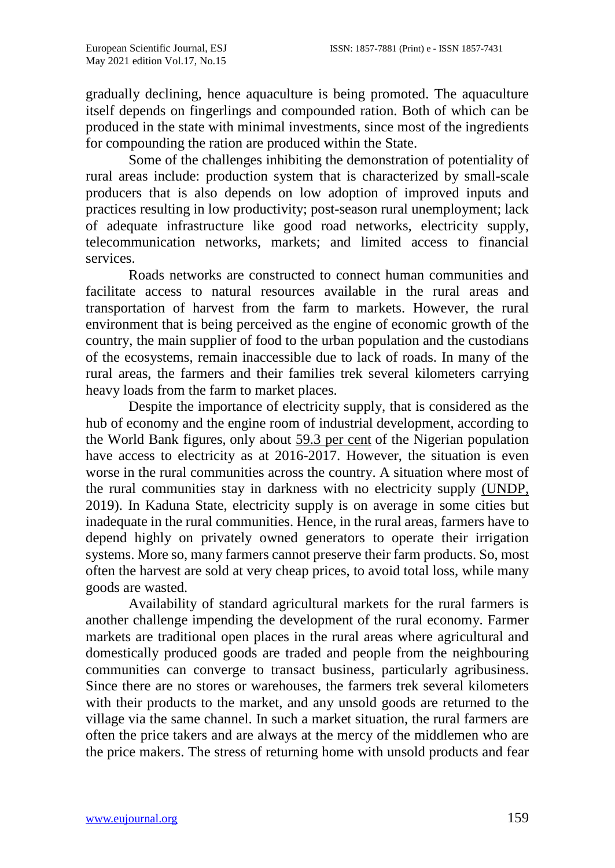gradually declining, hence aquaculture is being promoted. The aquaculture itself depends on fingerlings and compounded ration. Both of which can be produced in the state with minimal investments, since most of the ingredients for compounding the ration are produced within the State.

Some of the challenges inhibiting the demonstration of potentiality of rural areas include: production system that is characterized by small-scale producers that is also depends on low adoption of improved inputs and practices resulting in low productivity; post-season rural unemployment; lack of adequate infrastructure like good road networks, electricity supply, telecommunication networks, markets; and limited access to financial services.

Roads networks are constructed to connect human communities and facilitate access to natural resources available in the rural areas and transportation of harvest from the farm to markets. However, the rural environment that is being perceived as the engine of economic growth of the country, the main supplier of food to the urban population and the custodians of the ecosystems, remain inaccessible due to lack of roads. In many of the rural areas, the farmers and their families trek several kilometers carrying heavy loads from the farm to market places.

Despite the importance of electricity supply, that is considered as the hub of economy and the engine room of industrial development, according to the World Bank figures, only about [59.3 per cent](https://data.worldbank.org/indicator/EG.ELC.ACCS.ZS?locations=NG) of the Nigerian population have access to electricity as at 2016-2017. However, the situation is even worse in the rural communities across the country. A situation where most of the rural communities stay in darkness with no electricity supply [\(UNDP,](https://www.iai.it/en/pubblicazioni/human-security-and-nigerias-energy-crisis#_ftn9) 2019). In Kaduna State, electricity supply is on average in some cities but inadequate in the rural communities. Hence, in the rural areas, farmers have to depend highly on privately owned generators to operate their irrigation systems. More so, many farmers cannot preserve their farm products. So, most often the harvest are sold at very cheap prices, to avoid total loss, while many goods are wasted.

Availability of standard agricultural markets for the rural farmers is another challenge impending the development of the rural economy. Farmer markets are traditional open places in the rural areas where [agricultural](http://en.wikipedia.org/wiki/Agriculture) and domestically produced goods are traded and people from the neighbouring communities can converge to transact business, particularly agribusiness. Since there are no stores or warehouses, the farmers trek several kilometers with their products to the market, and any unsold goods are returned to the village via the same channel. In such a market situation, the rural farmers are often the price takers and are always at the mercy of the middlemen who are the price makers. The stress of returning home with unsold products and fear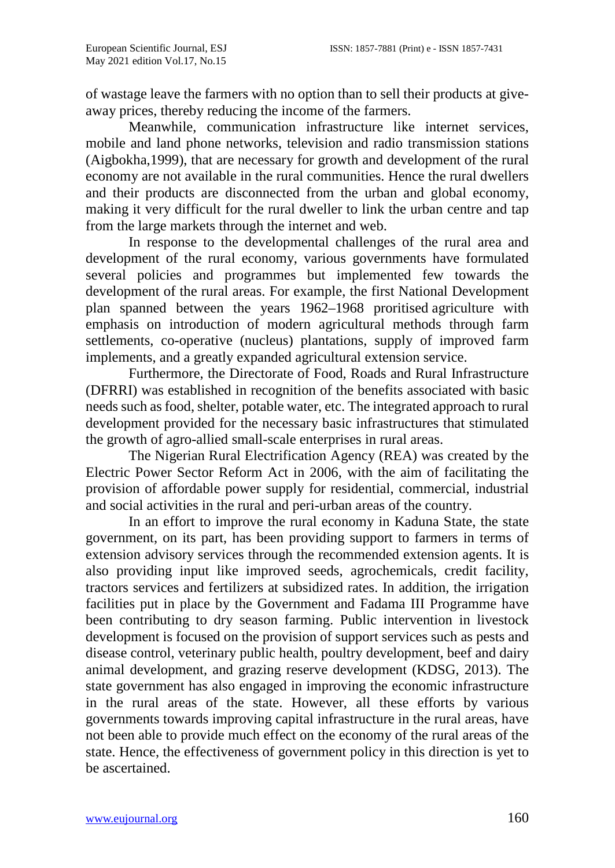of wastage leave the farmers with no option than to sell their products at giveaway prices, thereby reducing the income of the farmers.

Meanwhile, communication infrastructure like internet services, mobile and land phone networks, television and radio transmission stations (Aigbokha,1999), that are necessary for growth and development of the rural economy are not available in the rural communities. Hence the rural dwellers and their products are disconnected from the urban and global economy, making it very difficult for the rural dweller to link the urban centre and tap from the large markets through the internet and web.

In response to the developmental challenges of the rural area and development of the rural economy, various governments have formulated several policies and programmes but implemented few towards the development of the rural areas. For example, the first National Development plan spanned between the years 1962–1968 proritised [agriculture w](https://en.wikipedia.org/wiki/Agriculture_in_Nigeria)ith emphasis on introduction of modern agricultural methods through farm settlements, co-operative (nucleus) plantations, supply of improved farm implements, and a greatly expanded agricultural extension service.

Furthermore, the Directorate of Food, Roads and Rural Infrastructure (DFRRI) was established in recognition of the benefits associated with basic needs such as food, shelter, potable water, etc. The integrated approach to rural development provided for the necessary basic infrastructures that stimulated the growth of agro-allied small-scale enterprises in rural areas.

The Nigerian Rural Electrification Agency (REA) was created by the Electric Power Sector Reform Act in 2006, with the aim of facilitating the provision of affordable power supply for residential, commercial, industrial and social activities in the rural and peri-urban areas of the country.

In an effort to improve the rural economy in Kaduna State, the state government, on its part, has been providing support to farmers in terms of extension advisory services through the recommended extension agents. It is also providing input like improved seeds, agrochemicals, credit facility, tractors services and fertilizers at subsidized rates. In addition, the irrigation facilities put in place by the Government and Fadama III Programme have been contributing to dry season farming. Public intervention in livestock development is focused on the provision of support services such as pests and disease control, veterinary public health, poultry development, beef and dairy animal development, and grazing reserve development (KDSG, 2013). The state government has also engaged in improving the economic infrastructure in the rural areas of the state. However, all these efforts by various governments towards improving capital infrastructure in the rural areas, have not been able to provide much effect on the economy of the rural areas of the state. Hence, the effectiveness of government policy in this direction is yet to be ascertained.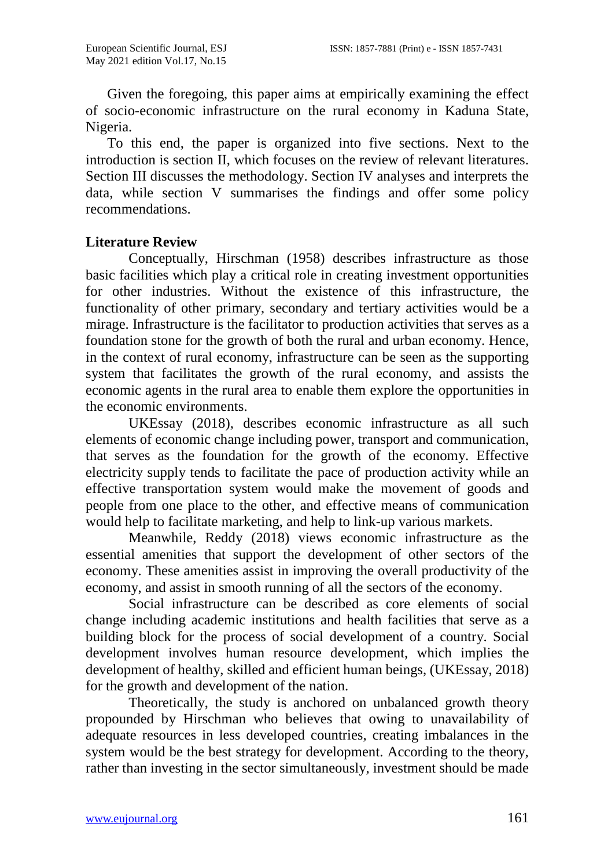Given the foregoing, this paper aims at empirically examining the effect of socio-economic infrastructure on the rural economy in Kaduna State, Nigeria.

To this end, the paper is organized into five sections. Next to the introduction is section II, which focuses on the review of relevant literatures. Section III discusses the methodology. Section IV analyses and interprets the data, while section V summarises the findings and offer some policy recommendations.

# **Literature Review**

Conceptually, Hirschman (1958) describes infrastructure as those basic facilities which play a critical role in creating investment opportunities for other industries. Without the existence of this infrastructure, the functionality of other primary, secondary and tertiary activities would be a mirage. Infrastructure is the facilitator to production activities that serves as a foundation stone for the growth of both the rural and urban economy. Hence, in the context of rural economy, infrastructure can be seen as the supporting system that facilitates the growth of the rural economy, and assists the economic agents in the rural area to enable them explore the opportunities in the economic environments.

UKEssay (2018), describes economic infrastructure as all such elements of economic change including power, transport and communication, that serves as the foundation for the growth of the economy. Effective electricity supply tends to facilitate the pace of production activity while an effective transportation system would make the movement of goods and people from one place to the other, and effective means of communication would help to facilitate marketing, and help to link-up various markets.

Meanwhile, Reddy (2018) views economic infrastructure as the essential amenities that support the development of other sectors of the economy. These amenities assist in improving the overall productivity of the economy, and assist in smooth running of all the sectors of the economy.

Social infrastructure can be described as core elements of social change including academic institutions and health facilities that serve as a building block for the process of social development of a country. Social development involves human resource development, which implies the development of healthy, skilled and efficient human beings, (UKEssay, 2018) for the growth and development of the nation.

Theoretically, the study is anchored on unbalanced growth theory propounded by Hirschman who believes that owing to unavailability of adequate resources in less developed countries, creating imbalances in the system would be the best strategy for development. According to the theory, rather than investing in the sector simultaneously, investment should be made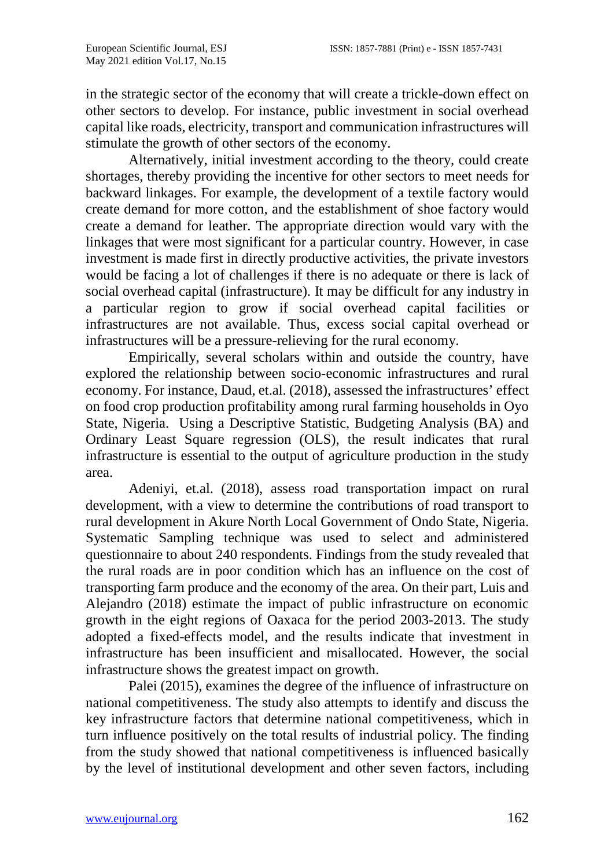in the strategic sector of the economy that will create a trickle-down effect on other sectors to develop. For instance, public investment in social overhead capital like roads, electricity, transport and communication infrastructures will stimulate the growth of other sectors of the economy.

Alternatively, initial investment according to the theory, could create shortages, thereby providing the incentive for other sectors to meet needs for backward linkages. For example, the development of a textile factory would create demand for more cotton, and the establishment of shoe factory would create a demand for leather. The appropriate direction would vary with the linkages that were most significant for a particular country. However, in case investment is made first in directly productive activities, the private investors would be facing a lot of challenges if there is no adequate or there is lack of social overhead capital (infrastructure). It may be difficult for any industry in a particular region to grow if social overhead capital facilities or infrastructures are not available. Thus, excess social capital overhead or infrastructures will be a pressure-relieving for the rural economy.

Empirically, several scholars within and outside the country, have explored the relationship between socio-economic infrastructures and rural economy. For instance, Daud, et.al. (2018), assessed the infrastructures' effect on food crop production profitability among rural farming households in Oyo State, Nigeria. Using a Descriptive Statistic, Budgeting Analysis (BA) and Ordinary Least Square regression (OLS), the result indicates that rural infrastructure is essential to the output of agriculture production in the study area.

Adeniyi, et.al. (2018), assess road transportation impact on rural development, with a view to determine the contributions of road transport to rural development in Akure North Local Government of Ondo State, Nigeria. Systematic Sampling technique was used to select and administered questionnaire to about 240 respondents. Findings from the study revealed that the rural roads are in poor condition which has an influence on the cost of transporting farm produce and the economy of the area. On their part, Luis and Alejandro (2018) estimate the impact of public infrastructure on economic growth in the eight regions of Oaxaca for the period 2003-2013. The study adopted a fixed-effects model, and the results indicate that investment in infrastructure has been insufficient and misallocated. However, the social infrastructure shows the greatest impact on growth.

Palei (2015), examines the degree of the influence of infrastructure on national competitiveness. The study also attempts to identify and discuss the key infrastructure factors that determine national competitiveness, which in turn influence positively on the total results of industrial policy. The finding from the study showed that national competitiveness is influenced basically by the level of institutional development and other seven factors, including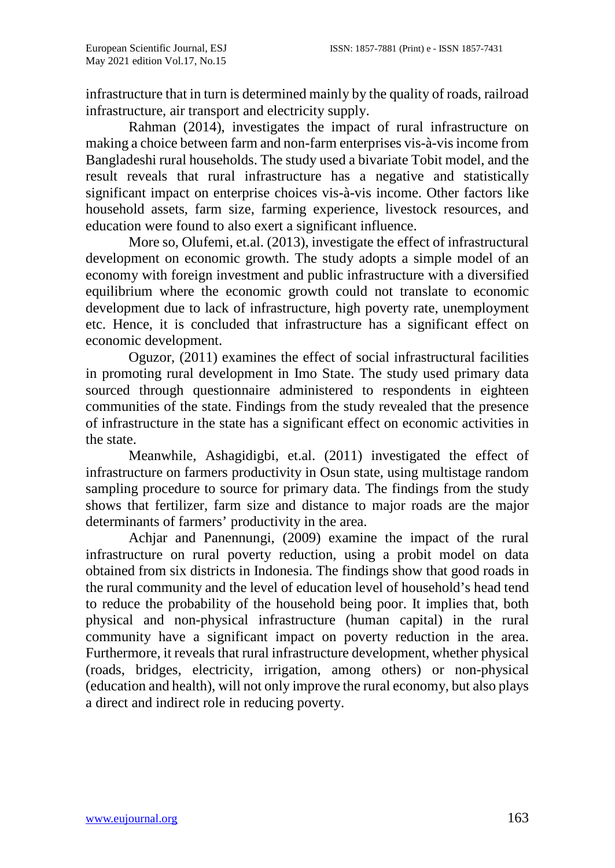infrastructure that in turn is determined mainly by the quality of roads, railroad infrastructure, air transport and electricity supply.

Rahman (2014), investigates the impact of rural infrastructure on making a choice between farm and non-farm enterprises vis-à-vis income from Bangladeshi rural households. The study used a bivariate Tobit model, and the result reveals that rural infrastructure has a negative and statistically significant impact on enterprise choices vis-à-vis income. Other factors like household assets, farm size, farming experience, livestock resources, and education were found to also exert a significant influence.

More so, Olufemi, et.al. (2013), investigate the effect of infrastructural development on economic growth. The study adopts a simple model of an economy with foreign investment and public infrastructure with a diversified equilibrium where the economic growth could not translate to economic development due to lack of infrastructure, high poverty rate, unemployment etc. Hence, it is concluded that infrastructure has a significant effect on economic development.

Oguzor, (2011) examines the effect of social infrastructural facilities in promoting rural development in Imo State. The study used primary data sourced through questionnaire administered to respondents in eighteen communities of the state. Findings from the study revealed that the presence of infrastructure in the state has a significant effect on economic activities in the state.

Meanwhile, Ashagidigbi, et.al. (2011) investigated the effect of infrastructure on farmers productivity in Osun state, using multistage random sampling procedure to source for primary data. The findings from the study shows that fertilizer, farm size and distance to major roads are the major determinants of farmers' productivity in the area.

Achjar and Panennungi, (2009) examine the impact of the rural infrastructure on rural poverty reduction, using a probit model on data obtained from six districts in Indonesia. The findings show that good roads in the rural community and the level of education level of household's head tend to reduce the probability of the household being poor. It implies that, both physical and non-physical infrastructure (human capital) in the rural community have a significant impact on poverty reduction in the area. Furthermore, it reveals that rural infrastructure development, whether physical (roads, bridges, electricity, irrigation, among others) or non-physical (education and health), will not only improve the rural economy, but also plays a direct and indirect role in reducing poverty.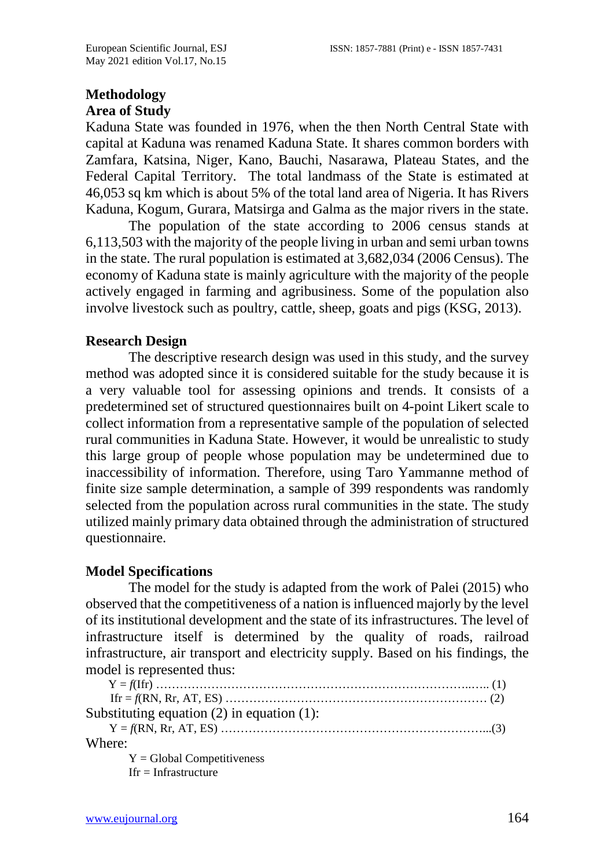# **Methodology Area of Study**

Kaduna State was founded in 1976, when the then North Central State with capital at Kaduna was renamed Kaduna State. It shares common borders with Zamfara, Katsina, Niger, Kano, Bauchi, Nasarawa, Plateau States, and the Federal Capital Territory. The total landmass of the State is estimated at 46,053 sq km which is about 5% of the total land area of Nigeria. It has Rivers Kaduna, Kogum, Gurara, Matsirga and Galma as the major rivers in the state.

The population of the state according to 2006 census stands at 6,113,503 with the majority of the people living in urban and semi urban towns in the state. The rural population is estimated at 3,682,034 (2006 Census). The economy of Kaduna state is mainly agriculture with the majority of the people actively engaged in farming and agribusiness. Some of the population also involve livestock such as poultry, cattle, sheep, goats and pigs (KSG, 2013).

#### **Research Design**

The descriptive research design was used in this study, and the survey method was adopted since it is considered suitable for the study because it is a very valuable tool for assessing opinions and trends. It consists of a predetermined set of structured questionnaires built on 4-point Likert scale to collect information from a representative sample of the population of selected rural communities in Kaduna State. However, it would be unrealistic to study this large group of people whose population may be undetermined due to inaccessibility of information. Therefore, using Taro Yammanne method of finite size sample determination, a sample of 399 respondents was randomly selected from the population across rural communities in the state. The study utilized mainly primary data obtained through the administration of structured questionnaire.

# **Model Specifications**

The model for the study is adapted from the work of Palei (2015) who observed that the competitiveness of a nation is influenced majorly by the level of its institutional development and the state of its infrastructures. The level of infrastructure itself is determined by the quality of roads, railroad infrastructure, air transport and electricity supply. Based on his findings, the model is represented thus:

| Substituting equation $(2)$ in equation $(1)$ : |
|-------------------------------------------------|
|                                                 |
| Where:                                          |
| $Y = Global$ Competitiveness                    |
| $If r = Infrastructure$                         |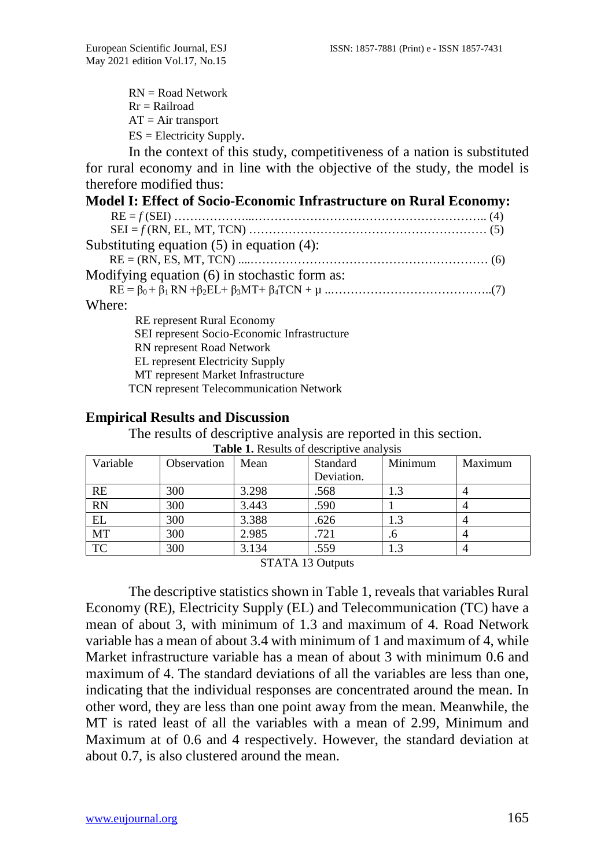$RN = Road Network$  $Rr =$ Railroad  $AT = Air transport$ ES = Electricity Supply.

In the context of this study, competitiveness of a nation is substituted for rural economy and in line with the objective of the study, the model is therefore modified thus:

| <b>Model I: Effect of Socio-Economic Infrastructure on Rural Economy:</b> |
|---------------------------------------------------------------------------|
|                                                                           |
|                                                                           |
| Substituting equation $(5)$ in equation $(4)$ :                           |
|                                                                           |
| Modifying equation (6) in stochastic form as:                             |
|                                                                           |
| Where:                                                                    |
| <b>RE</b> represent Rural Economy                                         |
| SEI represent Socio-Economic Infrastructure                               |
| RN represent Road Network                                                 |
| <b>EL</b> represent Electricity Supply                                    |
| MT represent Market Infrastructure                                        |

TCN represent Telecommunication Network

#### **Empirical Results and Discussion**

The results of descriptive analysis are reported in this section.

| Variable  | Observation | Mean  | Standard   | Minimum | Maximum |
|-----------|-------------|-------|------------|---------|---------|
|           |             |       | Deviation. |         |         |
| RE        | 300         | 3.298 | .568       | 1.3     |         |
| <b>RN</b> | 300         | 3.443 | .590       |         |         |
| EL        | 300         | 3.388 | .626       | 1.3     |         |
| MT        | 300         | 2.985 | .721       | .6      |         |
| <b>TC</b> | 300         | 3.134 | .559       | 1.3     |         |

**Table 1.** Results of descriptive analysis

STATA 13 Outputs

The descriptive statistics shown in Table 1, reveals that variables Rural Economy (RE), Electricity Supply (EL) and Telecommunication (TC) have a mean of about 3, with minimum of 1.3 and maximum of 4. Road Network variable has a mean of about 3.4 with minimum of 1 and maximum of 4, while Market infrastructure variable has a mean of about 3 with minimum 0.6 and maximum of 4. The standard deviations of all the variables are less than one, indicating that the individual responses are concentrated around the mean. In other word, they are less than one point away from the mean. Meanwhile, the MT is rated least of all the variables with a mean of 2.99, Minimum and Maximum at of 0.6 and 4 respectively. However, the standard deviation at about 0.7, is also clustered around the mean.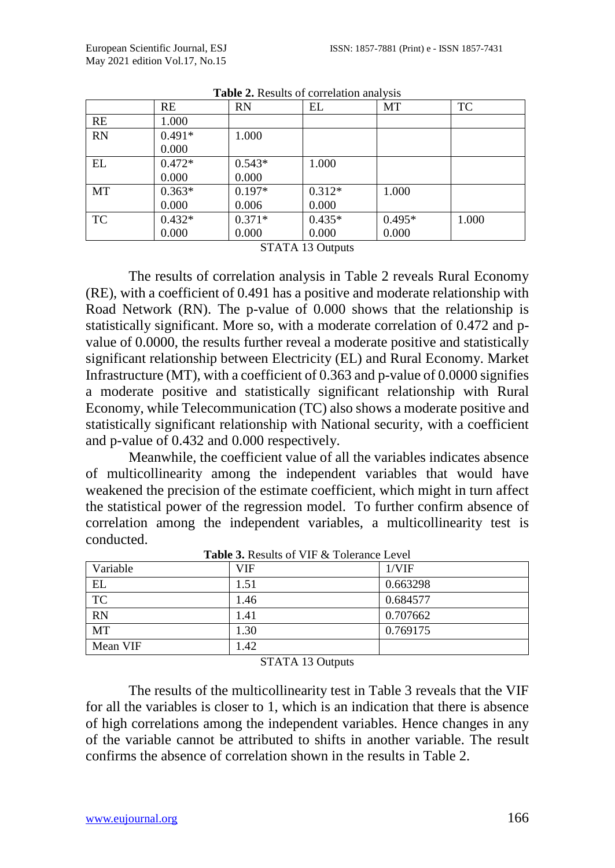|           | RE       | <b>RN</b> | EL       | MT       | TC    |
|-----------|----------|-----------|----------|----------|-------|
| RE        | 1.000    |           |          |          |       |
| <b>RN</b> | $0.491*$ | 1.000     |          |          |       |
|           | 0.000    |           |          |          |       |
| EL        | $0.472*$ | $0.543*$  | 1.000    |          |       |
|           | 0.000    | 0.000     |          |          |       |
| MT        | $0.363*$ | $0.197*$  | $0.312*$ | 1.000    |       |
|           | 0.000    | 0.006     | 0.000    |          |       |
| <b>TC</b> | $0.432*$ | $0.371*$  | $0.435*$ | $0.495*$ | 1.000 |
|           | 0.000    | 0.000     | 0.000    | 0.000    |       |

**Table 2.** Results of correlation analysis

STATA 13 Outputs

The results of correlation analysis in Table 2 reveals Rural Economy (RE), with a coefficient of 0.491 has a positive and moderate relationship with Road Network (RN). The p-value of 0.000 shows that the relationship is statistically significant. More so, with a moderate correlation of 0.472 and pvalue of 0.0000, the results further reveal a moderate positive and statistically significant relationship between Electricity (EL) and Rural Economy. Market Infrastructure (MT), with a coefficient of 0.363 and p-value of 0.0000 signifies a moderate positive and statistically significant relationship with Rural Economy, while Telecommunication (TC) also shows a moderate positive and statistically significant relationship with National security, with a coefficient and p-value of 0.432 and 0.000 respectively.

Meanwhile, the coefficient value of all the variables indicates absence of multicollinearity among the independent variables that would have weakened the precision of the estimate coefficient, which might in turn affect the statistical power of the regression model. To further confirm absence of correlation among the independent variables, a multicollinearity test is conducted.

| Variable  | VIF  | 1/VIF    |
|-----------|------|----------|
| EL        | 1.51 | 0.663298 |
| <b>TC</b> | 1.46 | 0.684577 |
| <b>RN</b> | 1.41 | 0.707662 |
| <b>MT</b> | 1.30 | 0.769175 |
| Mean VIF  | 1.42 |          |

**Table 3.** Results of VIF & Tolerance Level

STATA 13 Outputs

The results of the multicollinearity test in Table 3 reveals that the VIF for all the variables is closer to 1, which is an indication that there is absence of high correlations among the independent variables. Hence changes in any of the variable cannot be attributed to shifts in another variable. The result confirms the absence of correlation shown in the results in Table 2.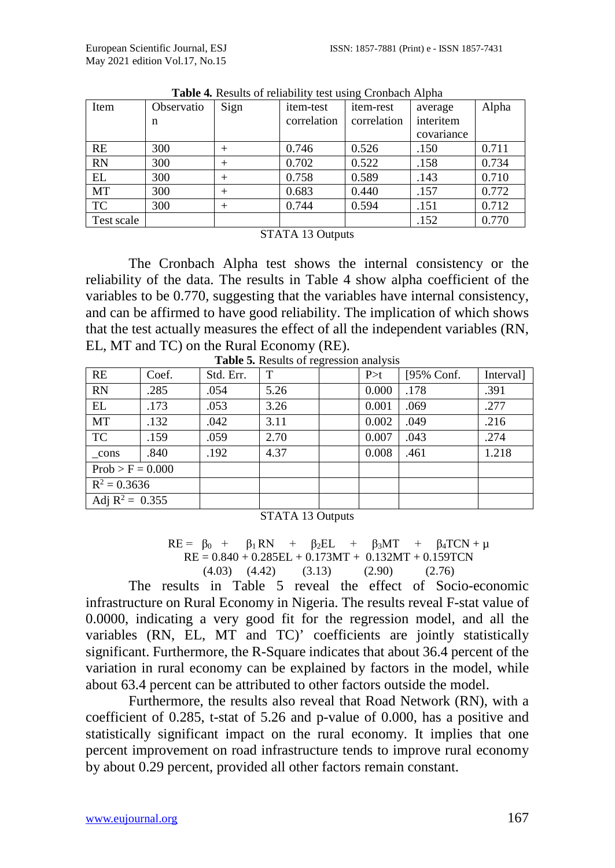| Item       | Observatio | Sign   | <i>item-test</i> | <i>item-rest</i> | average    | Alpha |
|------------|------------|--------|------------------|------------------|------------|-------|
|            | n          |        | correlation      | correlation      | interitem  |       |
|            |            |        |                  |                  | covariance |       |
| RE         | 300        | $^+$   | 0.746            | 0.526            | .150       | 0.711 |
| <b>RN</b>  | 300        | $^{+}$ | 0.702            | 0.522            | .158       | 0.734 |
| EL         | 300        | $^{+}$ | 0.758            | 0.589            | .143       | 0.710 |
| MT         | 300        | $^{+}$ | 0.683            | 0.440            | .157       | 0.772 |
| TC         | 300        | $^{+}$ | 0.744            | 0.594            | .151       | 0.712 |
| Test scale |            |        |                  |                  | .152       | 0.770 |

**Table 4***.* Results of reliability test using Cronbach Alpha

STATA 13 Outputs

The Cronbach Alpha test shows the internal consistency or the reliability of the data. The results in Table 4 show alpha coefficient of the variables to be 0.770, suggesting that the variables have internal consistency, and can be affirmed to have good reliability. The implication of which shows that the test actually measures the effect of all the independent variables (RN, EL, MT and TC) on the Rural Economy (RE).

| RE                 | Coef. | Std. Err. | T    | P > t | [95% Conf. | Interval] |
|--------------------|-------|-----------|------|-------|------------|-----------|
| <b>RN</b>          | .285  | .054      | 5.26 | 0.000 | .178       | .391      |
| EL                 | .173  | .053      | 3.26 | 0.001 | .069       | .277      |
| MT                 | .132  | .042      | 3.11 | 0.002 | .049       | .216      |
| <b>TC</b>          | .159  | .059      | 2.70 | 0.007 | .043       | .274      |
| cons               | .840  | .192      | 4.37 | 0.008 | .461       | 1.218     |
| $Prob > F = 0.000$ |       |           |      |       |            |           |
| $R^2 = 0.3636$     |       |           |      |       |            |           |
| Adj $R^2 = 0.355$  |       |           |      |       |            |           |

**Table 5***.* Results of regression analysis

STATA 13 Outputs

RE = 
$$
\beta_0
$$
 +  $\beta_1$  RN +  $\beta_2$ EL +  $\beta_3$ MT +  $\beta_4$ TCN +  $\mu$   
RE = 0.840 + 0.285EL + 0.173MT + 0.132MT + 0.159TCN  
(4.03) (4.42) (3.13) (2.90) (2.76)

The results in Table 5 reveal the effect of Socio-economic infrastructure on Rural Economy in Nigeria. The results reveal F-stat value of 0.0000, indicating a very good fit for the regression model, and all the variables (RN, EL, MT and TC)' coefficients are jointly statistically significant. Furthermore, the R-Square indicates that about 36.4 percent of the variation in rural economy can be explained by factors in the model, while about 63.4 percent can be attributed to other factors outside the model.

Furthermore, the results also reveal that Road Network (RN), with a coefficient of 0.285, t-stat of 5.26 and p-value of 0.000, has a positive and statistically significant impact on the rural economy. It implies that one percent improvement on road infrastructure tends to improve rural economy by about 0.29 percent, provided all other factors remain constant.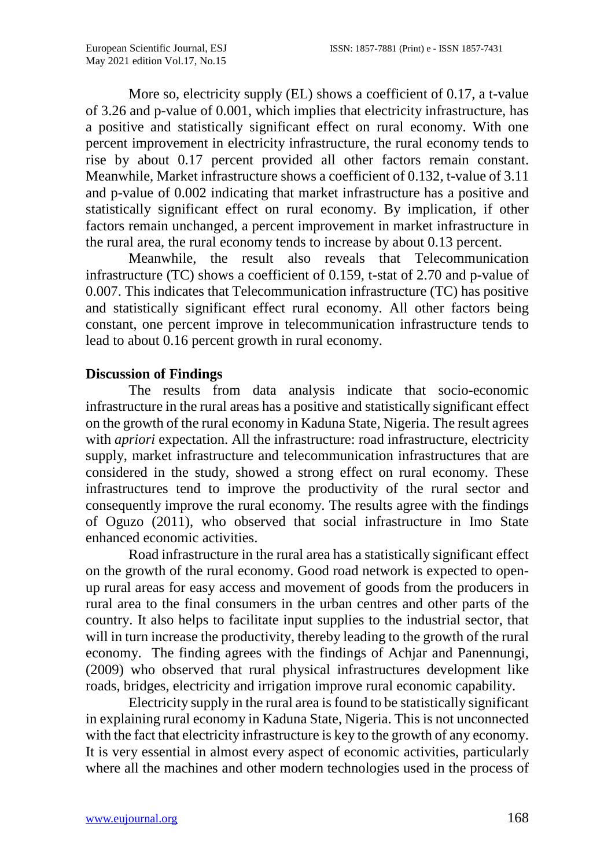More so, electricity supply (EL) shows a coefficient of 0.17, a t-value of 3.26 and p-value of 0.001, which implies that electricity infrastructure, has a positive and statistically significant effect on rural economy. With one percent improvement in electricity infrastructure, the rural economy tends to rise by about 0.17 percent provided all other factors remain constant. Meanwhile, Market infrastructure shows a coefficient of 0.132, t-value of 3.11 and p-value of 0.002 indicating that market infrastructure has a positive and statistically significant effect on rural economy. By implication, if other factors remain unchanged, a percent improvement in market infrastructure in the rural area, the rural economy tends to increase by about 0.13 percent.

Meanwhile, the result also reveals that Telecommunication infrastructure (TC) shows a coefficient of 0.159, t-stat of 2.70 and p-value of 0.007. This indicates that Telecommunication infrastructure (TC) has positive and statistically significant effect rural economy. All other factors being constant, one percent improve in telecommunication infrastructure tends to lead to about 0.16 percent growth in rural economy.

#### **Discussion of Findings**

The results from data analysis indicate that socio-economic infrastructure in the rural areas has a positive and statistically significant effect on the growth of the rural economy in Kaduna State, Nigeria. The result agrees with *apriori* expectation. All the infrastructure: road infrastructure, electricity supply, market infrastructure and telecommunication infrastructures that are considered in the study, showed a strong effect on rural economy. These infrastructures tend to improve the productivity of the rural sector and consequently improve the rural economy. The results agree with the findings of Oguzo (2011), who observed that social infrastructure in Imo State enhanced economic activities.

Road infrastructure in the rural area has a statistically significant effect on the growth of the rural economy. Good road network is expected to openup rural areas for easy access and movement of goods from the producers in rural area to the final consumers in the urban centres and other parts of the country. It also helps to facilitate input supplies to the industrial sector, that will in turn increase the productivity, thereby leading to the growth of the rural economy. The finding agrees with the findings of Achjar and Panennungi, (2009) who observed that rural physical infrastructures development like roads, bridges, electricity and irrigation improve rural economic capability.

Electricity supply in the rural area is found to be statistically significant in explaining rural economy in Kaduna State, Nigeria. This is not unconnected with the fact that electricity infrastructure is key to the growth of any economy. It is very essential in almost every aspect of economic activities, particularly where all the machines and other modern technologies used in the process of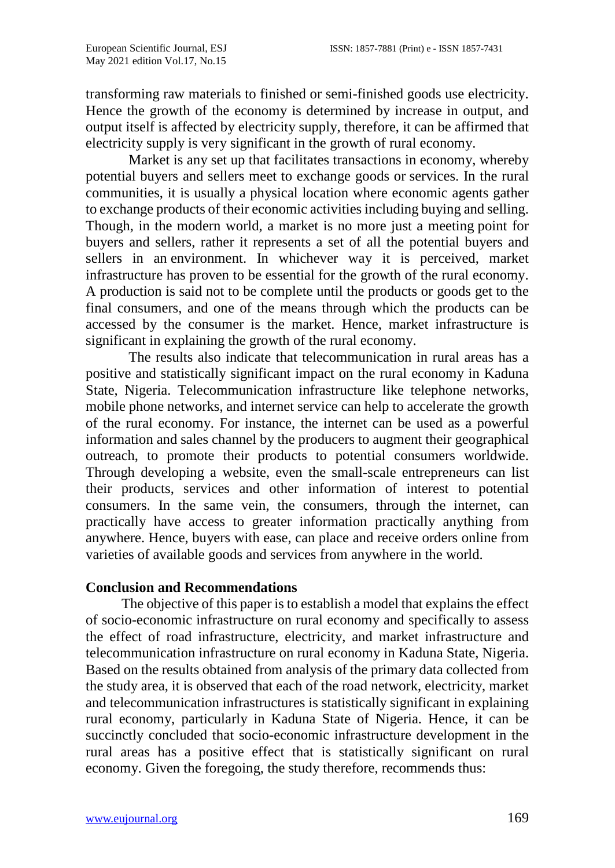transforming raw materials to finished or semi-finished goods use electricity. Hence the growth of the economy is determined by increase in output, and output itself is affected by electricity supply, therefore, it can be affirmed that electricity supply is very significant in the growth of rural economy.

Market is any set up that facilitates transactions in economy, whereby potential buyers and sellers meet to exchange goods or [services.](https://www.toppr.com/guides/business-studies/business-services/nature-and-types-of-services/) In the rural communities, it is usually a physical location where economic agents gather to exchange products of their economic activities including buying and selling. Though, in the modern world, a market is no more just a meeting point for buyers and sellers, rather it represents a set of all the potential buyers and sellers in an [environment.](https://www.toppr.com/guides/geography/environment/environment/) In whichever way it is perceived, market infrastructure has proven to be essential for the growth of the rural economy. A production is said not to be complete until the products or goods get to the final consumers, and one of the means through which the products can be accessed by the consumer is the market. Hence, market infrastructure is significant in explaining the growth of the rural economy.

The results also indicate that telecommunication in rural areas has a positive and statistically significant impact on the rural economy in Kaduna State, Nigeria. Telecommunication infrastructure like telephone networks, mobile phone networks, and internet service can help to accelerate the growth of the rural economy. For instance, the internet can be used as a powerful information and sales channel by the producers to augment their geographical outreach, to promote their products to potential consumers worldwide. Through developing a website, even the small-scale entrepreneurs can list their products, services and other information of interest to potential consumers. In the same vein, the consumers, through the internet, can practically have access to greater information practically anything from anywhere. Hence, buyers with ease, can place and receive orders online from varieties of available goods and services from anywhere in the world.

#### **Conclusion and Recommendations**

 The objective of this paper is to establish a model that explains the effect of socio-economic infrastructure on rural economy and specifically to assess the effect of road infrastructure, electricity, and market infrastructure and telecommunication infrastructure on rural economy in Kaduna State, Nigeria. Based on the results obtained from analysis of the primary data collected from the study area, it is observed that each of the road network, electricity, market and telecommunication infrastructures is statistically significant in explaining rural economy, particularly in Kaduna State of Nigeria. Hence, it can be succinctly concluded that socio-economic infrastructure development in the rural areas has a positive effect that is statistically significant on rural economy. Given the foregoing, the study therefore, recommends thus: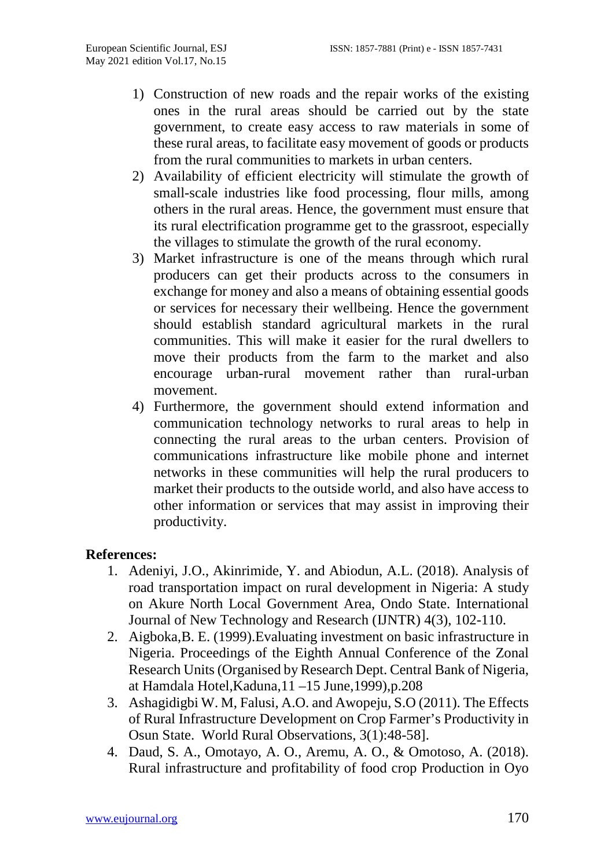- 1) Construction of new roads and the repair works of the existing ones in the rural areas should be carried out by the state government, to create easy access to raw materials in some of these rural areas, to facilitate easy movement of goods or products from the rural communities to markets in urban centers.
- 2) Availability of efficient electricity will stimulate the growth of small-scale industries like food processing, flour mills, among others in the rural areas. Hence, the government must ensure that its rural electrification programme get to the grassroot, especially the villages to stimulate the growth of the rural economy.
- 3) Market infrastructure is one of the means through which rural producers can get their products across to the consumers in exchange for money and also a means of obtaining essential goods or services for necessary their wellbeing. Hence the government should establish standard agricultural markets in the rural communities. This will make it easier for the rural dwellers to move their products from the farm to the market and also encourage urban-rural movement rather than rural-urban movement.
- 4) Furthermore, the government should extend information and communication technology networks to rural areas to help in connecting the rural areas to the urban centers. Provision of communications infrastructure like mobile phone and internet networks in these communities will help the rural producers to market their products to the outside world, and also have access to other information or services that may assist in improving their productivity.

# **References:**

- 1. Adeniyi, J.O., Akinrimide, Y. and Abiodun, A.L. (2018). Analysis of road transportation impact on rural development in Nigeria: A study on Akure North Local Government Area, Ondo State. International Journal of New Technology and Research (IJNTR) 4(3), 102-110.
- 2. Aigboka,B. E. (1999).Evaluating investment on basic infrastructure in Nigeria. Proceedings of the Eighth Annual Conference of the Zonal Research Units (Organised by Research Dept. Central Bank of Nigeria, at Hamdala Hotel,Kaduna,11 –15 June,1999),p.208
- 3. Ashagidigbi W. M, Falusi, A.O. and Awopeju, S.O (2011). The Effects of Rural Infrastructure Development on Crop Farmer's Productivity in Osun State. World Rural Observations, 3(1):48-58].
- 4. Daud, S. A., Omotayo, A. O., Aremu, A. O., & Omotoso, A. (2018). Rural infrastructure and profitability of food crop Production in Oyo